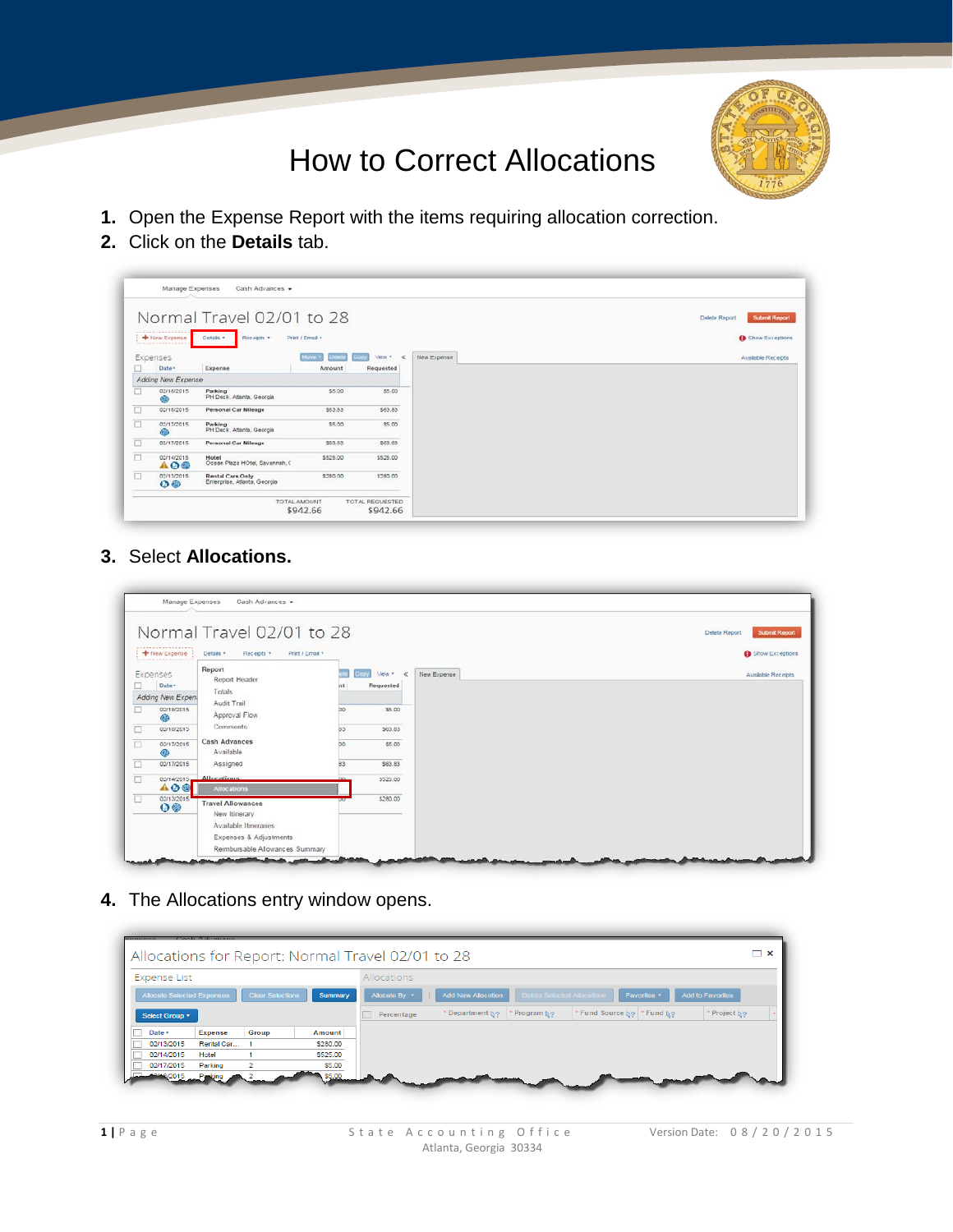

## How to Correct Allocations**.**

- **1.** Open the Expense Report with the items requiring allocation correction.
- **2.** Click on the **Details** tab.

|                                                                                                                                     |                                               | Normal Travel 02/01 to 28                        |                 |                     |             | <b>Submit Report</b><br>Delete Report |
|-------------------------------------------------------------------------------------------------------------------------------------|-----------------------------------------------|--------------------------------------------------|-----------------|---------------------|-------------|---------------------------------------|
|                                                                                                                                     | .<br>+ New Expense<br><b>RAFFERREEFFEELER</b> | Receipts .<br>Details .                          | Print / Email . |                     |             | <b>B</b> Show Exceptions              |
|                                                                                                                                     | Expenses                                      |                                                  | Move +          | View + at           | New Expense | Available Receipts                    |
| O                                                                                                                                   | Date -                                        | Expense                                          | Amount          | Requested           |             |                                       |
|                                                                                                                                     | Adding New Expense                            |                                                  |                 |                     |             |                                       |
| □                                                                                                                                   | 02/18/2015<br>۵                               | Parking<br>PH Deck, Atlanta, Georgia             | \$5.00          | \$5.00              |             |                                       |
| $\Box$                                                                                                                              | 02/18/2015                                    | Personal Car Mileage                             | \$63.83         | \$63.83             |             |                                       |
| ā                                                                                                                                   | 02/17/2015                                    | Parking<br>PH Deck, Atlanta, Georgia             | \$5.00          | \$5.00              |             |                                       |
| $\Box$                                                                                                                              | 02/17/2015                                    | Personal Car Mileage                             | \$63.83         | \$63.83             |             |                                       |
| $\frac{1}{2} \left( \frac{1}{2} \right) \left( \frac{1}{2} \right) \left( \frac{1}{2} \right) \left( \frac{1}{2} \right)$<br>$\Box$ | 02/14/2015<br>AOO                             | Hotel<br>Ocean Plaza HOtel, Savannah, C          | \$525.00<br>89  | \$525.00            |             |                                       |
| $\Box$                                                                                                                              | 02/13/2015<br>$\Omega$                        | Rental Cars Only<br>Enterprise, Atlanta, Georgia | \$280.00        | \$280.00<br>3400000 |             |                                       |

**3.** Select **Allocations.**

|                      |                                         | Normal Travel 02/01 to 28                                                                    |     |                              | <b>Submit Keport</b><br>Delete Report |
|----------------------|-----------------------------------------|----------------------------------------------------------------------------------------------|-----|------------------------------|---------------------------------------|
|                      | $\frac{1}{2}$ New Expense               | Print / Email +<br>Details *<br>Receipts +                                                   |     |                              | <b>O</b> Show Exceptions              |
| □                    | Expenses<br>Date -<br>Adding New Expen- | Report<br>Report Header<br>Totals                                                            |     | View * <<br>opy<br>Requested | <b>Available Receipts</b>             |
| □                    | 02/18/2015<br>6B                        | Audit Trail<br>Approval Flow                                                                 | bo. | \$5.00                       |                                       |
| □                    | 02/18/2015                              | <b>Comments</b>                                                                              | B3  | \$63.83                      |                                       |
| $\Box$               | 02/17/2015                              | <b>Cash Advances</b><br>Available                                                            | bo  | \$5.00                       |                                       |
| $\overline{\square}$ | 02/17/2015                              | Assigned                                                                                     | 83  | \$63.83                      |                                       |
| $\Box$               | 02/14/2015<br>A O @                     | <b>Allocations</b><br>Allocations                                                            |     | \$525.00                     |                                       |
| ū                    | 02/13/2015<br>$\mathbf{O} \otimes$      | <b>Travel Allowances</b><br>New Itinerary<br>Available Itineraries<br>Expenses & Adjustments |     | \$280.00                     |                                       |
|                      |                                         | Reimbursable Allowances Summary                                                              |     |                              |                                       |

**4.** The Allocations entry window opens.

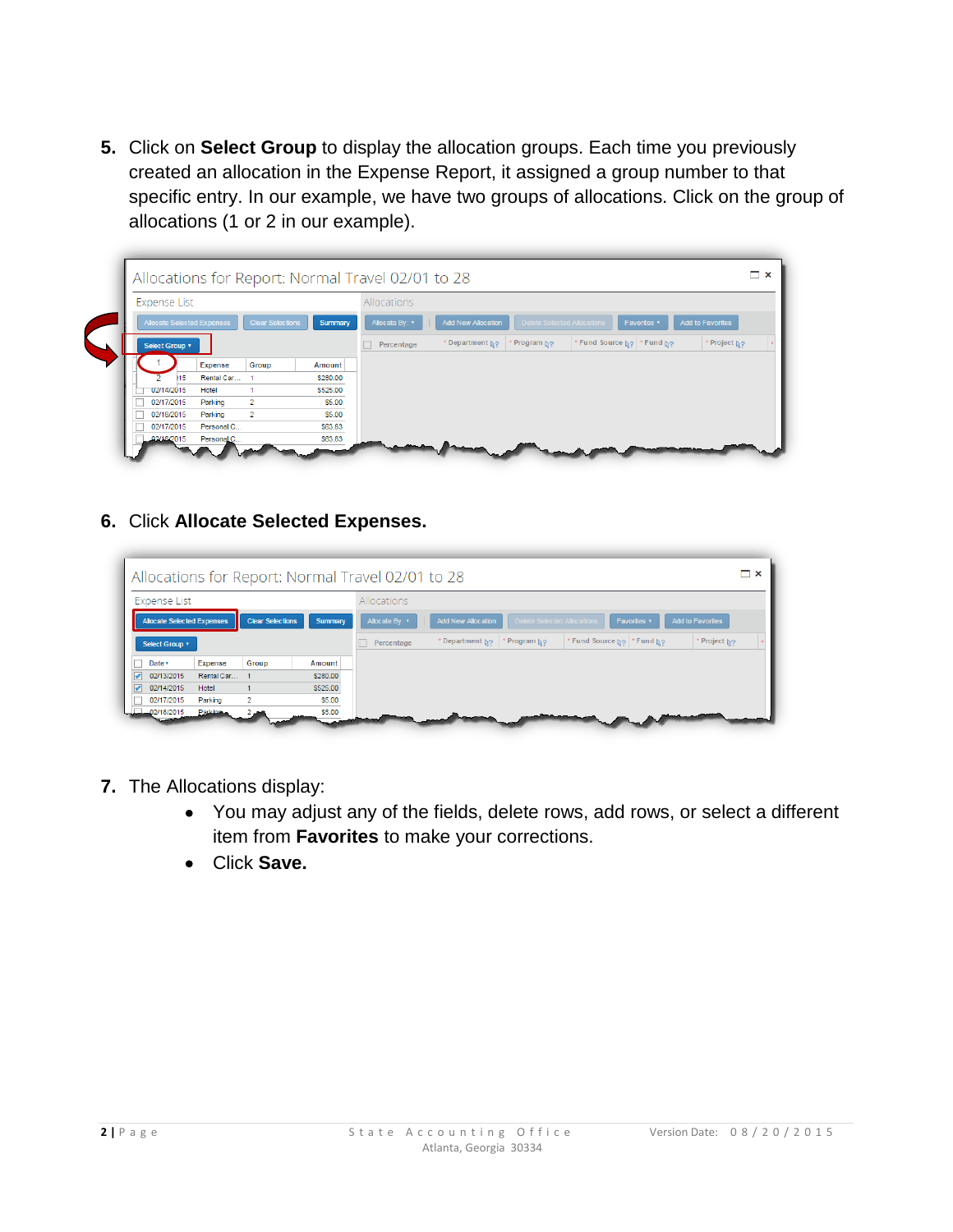**5.** Click on **Select Group** to display the allocation groups. Each time you previously created an allocation in the Expense Report, it assigned a group number to that specific entry. In our example, we have two groups of allocations. Click on the group of allocations (1 or 2 in our example).



**6.** Click **Allocate Selected Expenses.**

| $\Box$ $\times$<br>Allocations for Report: Normal Travel 02/01 to 28 |               |                                                                                                                             |  |  |  |  |  |  |  |  |
|----------------------------------------------------------------------|---------------|-----------------------------------------------------------------------------------------------------------------------------|--|--|--|--|--|--|--|--|
| <b>Expense List</b>                                                  |               | Allocations                                                                                                                 |  |  |  |  |  |  |  |  |
| <b>Clear Selections</b><br>Allocate Selected Expenses                | Summary       | <b>Add New Allocation</b><br>Delete Selected Allocations<br><b>Add to Favorites</b><br>Allocate By: v<br>Favorites <b>v</b> |  |  |  |  |  |  |  |  |
| Select Group +                                                       |               | * Fund Source No   * Fund No<br>* Project N2<br>* Department N2<br>Program N <sub>2</sub><br>Percentage                     |  |  |  |  |  |  |  |  |
| Group<br>Date v<br><b>Expense</b>                                    | <b>Amount</b> |                                                                                                                             |  |  |  |  |  |  |  |  |
| 02/13/2015<br>Rental Car                                             | \$280.00      |                                                                                                                             |  |  |  |  |  |  |  |  |
| 02/14/2015<br>V<br>Hotel                                             | \$525.00      |                                                                                                                             |  |  |  |  |  |  |  |  |
| 02/17/2015<br>$\overline{2}$<br>Parking                              | \$5.00        |                                                                                                                             |  |  |  |  |  |  |  |  |
| 02/18/2015<br>Parking <sub>n</sub>                                   | \$5.00        |                                                                                                                             |  |  |  |  |  |  |  |  |
|                                                                      |               |                                                                                                                             |  |  |  |  |  |  |  |  |

- **7.** The Allocations display:
	- You may adjust any of the fields, delete rows, add rows, or select a different item from **Favorites** to make your corrections.
	- Click **Save.**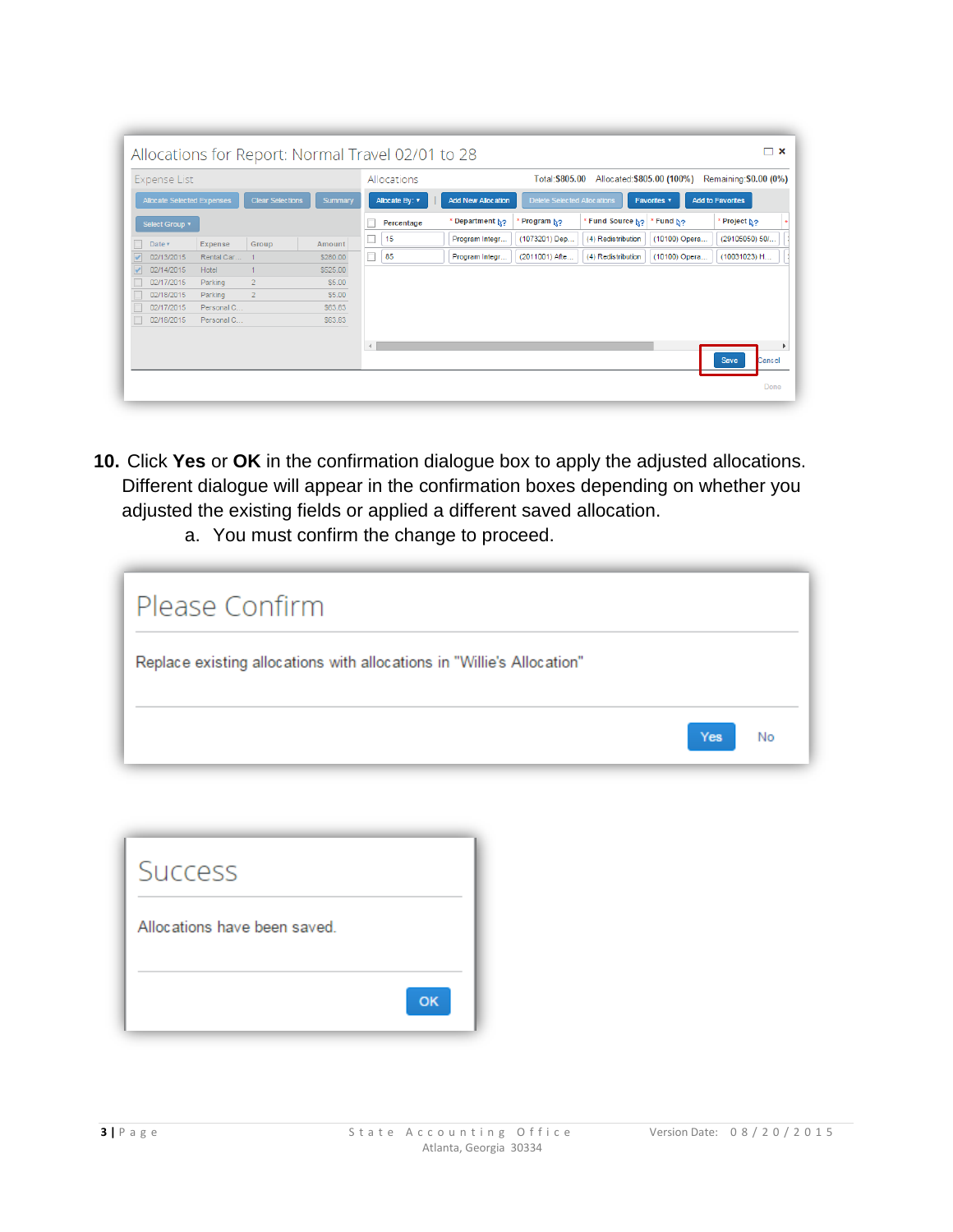| <b>Expense List</b><br>Allocate Selected Expenses<br><b>Clear Selections</b><br>Summary |                |          |            | Allocations                                                                                      |                 | Total: \$805.00 | Allocated: \$805.00 (100%) |               | Remaining: \$0.00 (0%)  |
|-----------------------------------------------------------------------------------------|----------------|----------|------------|--------------------------------------------------------------------------------------------------|-----------------|-----------------|----------------------------|---------------|-------------------------|
|                                                                                         |                |          |            | <b>Add New Allocation</b><br><b>Delete Selected Allocations</b><br>Allocate By: v<br>Favorites v |                 |                 |                            |               | <b>Add to Favorites</b> |
| Select Group v                                                                          |                |          | Percentage |                                                                                                  | * Department N2 | Program N?      | * Fund Source No           | * Fund N2     | Project No              |
| Expense<br>Date v                                                                       | Group          | Amount   | c<br>15    |                                                                                                  | Program Integr  | (1073201) Dep   | (4) Redistribution         | (10100) Opera | (29105050) 50/          |
| 02/13/2015<br>Rental Car                                                                |                | \$280.00 | Г<br>85    |                                                                                                  | Program Integr  | (2011001) Afte  | (4) Redistribution         | (10100) Opera | (10031023) H            |
| 02/14/2015<br>Hotel                                                                     |                | \$525.00 |            |                                                                                                  |                 |                 |                            |               |                         |
| 02/17/2015<br>Parking                                                                   | $\overline{2}$ | \$5.00   |            |                                                                                                  |                 |                 |                            |               |                         |
| 02/18/2015<br>Parking                                                                   | $\overline{2}$ | \$5.00   |            |                                                                                                  |                 |                 |                            |               |                         |
| 02/17/2015<br>Personal C                                                                |                | \$63.83  |            |                                                                                                  |                 |                 |                            |               |                         |
| 02/18/2015<br>Personal C                                                                |                | \$63.83  |            |                                                                                                  |                 |                 |                            |               |                         |
|                                                                                         |                |          |            |                                                                                                  |                 |                 |                            |               |                         |
|                                                                                         |                |          |            |                                                                                                  |                 |                 |                            |               |                         |
|                                                                                         |                |          |            |                                                                                                  |                 |                 |                            |               | Save<br>Cancel          |

- **10.** Click **Yes** or **OK** in the confirmation dialogue box to apply the adjusted allocations. Different dialogue will appear in the confirmation boxes depending on whether you adjusted the existing fields or applied a different saved allocation.
	- a. You must confirm the change to proceed.

| Please Confirm                                                         |     |    |
|------------------------------------------------------------------------|-----|----|
| Replace existing allocations with allocations in "Willie's Allocation" |     |    |
|                                                                        | Yes | No |